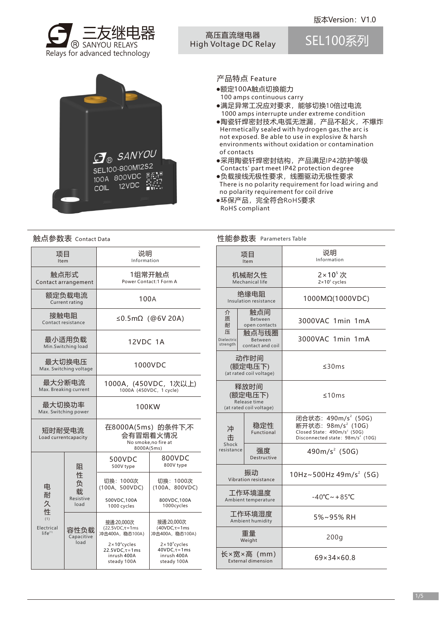



高压直流继电器 High Voltage DC Relay

SEL100系列



# 产品特点 Feature

- ●额定100A触点切换能力 100 amps continuous carry
- ●满足异常工况应对要求,能够切换10倍过电流 1000 amps interrupte under extreme condition
- ●陶瓷钎焊密封技术,电弧无泄漏,产品不起火,不爆炸 Hermetically sealed with hydrogen gas,the arc is not exposed. Be able to use in explosive & harsh environments without oxidation or contamination of contacts
- ●采用陶瓷钎焊密封结构,产品满足IP42防护等级 Contacts' part meet IP42 protection degree
- ●负载接线无极性要求,线圈驱动无极性要求 There is no polarity requirement for load wiring and no polarity requirement for coil drive
- ●环保产品,完全符合RoHS要求 RoHS compliant

性能参数表 Parameters Table

## 触点参数表 Contact Data http://www.filedu.com/default.com/default.com/default.com/defau

项目 Item 触点形式 Contact arrangement 额定负载电流 Current rating 接触电阻 Contact resistance 最小适用负载 Min.Switching load 最大切换电压 Max. Switching voltage 最大分断电流 Max. Breaking current 100A ≤0.5mΩ(@6V 20A) 12VDC 1A 1000VDC 1000A,(450VDC,1次以上) 1000A (450VDC, 1 cycle) 1组常开触点 Power Contact:1 Form A 说明 Information 电 耐 久 性  $(1)$ Electrical  $life^{(1)}$ 阻 性 负 载 Resistive load 容性负载 Capacitive load 接通:20,000次  $(22.5VDC, \tau=1ms$ 冲击400A,稳态100A) 500VDC 500V type 800VDC 800V type 切换:1000次 (100A、500VDC) 500VDC,100A 1000 cycles 切换:1000次 (100A、800VDC) 800VDC,100A 1000cycles 2×10<sup>4</sup>cycles 22.5VDC,τ=1ms inrush 400A 接通:20,000次 (40VDC,τ=1ms 冲击400A,稳态100A)  $2 \times 10^{4}$ cycles 40VDC,τ=1ms inrush 400A 最大切换功率 Max. Switching power 100KW 短时耐受电流 Load currentcapacity 在8000A(5ms)的条件下,不 会有冒烟着火情况 No smoke,no fire at 8000A(5ms)

steady 100A

steady 100A

|                             | 项目<br>Item                                                 | 说明<br>Information                                                                                                                                            |  |  |  |
|-----------------------------|------------------------------------------------------------|--------------------------------------------------------------------------------------------------------------------------------------------------------------|--|--|--|
|                             | 机械耐久性<br>Mechanical life                                   | $2\times10^{5}$ 次<br>$2 \times 10^5$ cycles                                                                                                                  |  |  |  |
|                             | 绝缘电阻<br>Insulation resistance                              | 1000MΩ(1000VDC)                                                                                                                                              |  |  |  |
| 介<br>质<br>耐                 | 触点间<br>Between<br>open contacts                            | 3000VAC 1min 1mA                                                                                                                                             |  |  |  |
| 压<br>Dielectric<br>strength | 触点与线圈<br>Between<br>contact and coil                       | 3000VAC 1min 1mA                                                                                                                                             |  |  |  |
|                             | 动作时间<br>(额定电压下)<br>(at rated coil voltage)                 | $\leq$ 30 ms                                                                                                                                                 |  |  |  |
|                             | 释放时间<br>(额定电压下)<br>Release time<br>(at rated coil voltage) | ≤10ms                                                                                                                                                        |  |  |  |
| 冲<br>击                      | 稳定性<br>Functional                                          | 闭合状态: 490m/s <sup>2</sup> (50G)<br>断开状态: 98m/s <sup>2</sup> (10G)<br>Closed State: 490m/s <sup>2</sup> (50G)<br>Disconnected state: 98m/s <sup>2</sup> (10G) |  |  |  |
| Shock<br>resistance         | 强度<br>Destructive                                          | 490m/s <sup>2</sup> (50G)                                                                                                                                    |  |  |  |
|                             | 振动<br>Vibration resistance                                 | 10Hz~500Hz 49m/s <sup>2</sup> (5G)                                                                                                                           |  |  |  |
|                             | 工作环境温度<br>Ambient temperature                              | $-40^{\circ}$ C ~ + 85 $^{\circ}$ C                                                                                                                          |  |  |  |
|                             | 工作环境湿度<br>Ambient humidity                                 | $5\% \sim 95\%$ RH                                                                                                                                           |  |  |  |
|                             | 車量<br>Weight                                               | 200q                                                                                                                                                         |  |  |  |
|                             | 长×宽×高 (mm)<br><b>External dimension</b>                    | 69×34×60.8                                                                                                                                                   |  |  |  |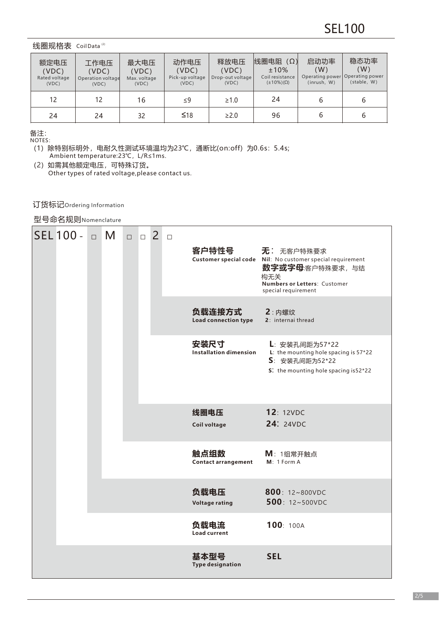#### 线圈规格表 CoilData<sup>⑵</sup>

| 额定电压<br>(VDC)<br>Rated voltage<br>(VDC) | 工作电压<br>(VDC)<br>Operation voltage<br>(VDC) | 最大电压<br>(VDC)<br>Max. voltage<br>(VDC) | 动作电压<br>(VDC)<br>Pick-up voltage<br>(VDC) | 释放电压<br>(VDC)<br>Drop-out voltage<br>(VDC) | 线圈电阻<br>$(\Omega)$<br>$±10\%$<br>Coil resistance<br>$(\pm 10\%)(\Omega)$ | 启动功率<br>(W)<br>(inrush, W) | 稳态功率<br>(W)<br>Operating power Operating power<br>(stable, W) |
|-----------------------------------------|---------------------------------------------|----------------------------------------|-------------------------------------------|--------------------------------------------|--------------------------------------------------------------------------|----------------------------|---------------------------------------------------------------|
| 12                                      | 12                                          | 16                                     | $\leq$ 9                                  | $\geq 1.0$                                 | 24                                                                       |                            | 6                                                             |
| 24                                      | 24                                          | 32                                     | $\leq 18$                                 | $\geq$ 2.0                                 | 96                                                                       |                            | 6                                                             |

备注: NOTES:

(1)除特别标明外,电耐久性测试环境温均为23℃,通断比(on:off)为0.6s:5.4s; Ambient temperature:23℃,L/R≤1ms.

(2)如需其他额定电压,可特殊订货。 Other types of rated voltage,please contact us.

订货标记Ordering Information

型号命名规则Nomenclature

| $SEL$ 100 - $\Box$ M<br>$\Box$ |  |  |  | $\Box$ 2                              |                                                                                                                     | $\Box$                        | 客户特性号                              | <b>无</b> : 无客户特殊要求<br>Customer special code    Nil: No customer special requirement<br><b>数字或字母</b> :客户特殊要求,与结<br>构无关<br>Numbers or Letters: Customer<br>special requirement |
|--------------------------------|--|--|--|---------------------------------------|---------------------------------------------------------------------------------------------------------------------|-------------------------------|------------------------------------|------------------------------------------------------------------------------------------------------------------------------------------------------------------------------|
|                                |  |  |  |                                       |                                                                                                                     |                               | 负载连接方式<br>Load connection type     | 2: 内螺纹<br>2: internai thread                                                                                                                                                 |
|                                |  |  |  | 安装尺寸<br><b>Installation dimension</b> | L: 安装孔间距为57*22<br>L: the mounting hole spacing is $57*22$<br>S: 安装孔间距为52*22<br>S: the mounting hole spacing is52*22 |                               |                                    |                                                                                                                                                                              |
|                                |  |  |  |                                       | 线圈电压<br>Coil voltage                                                                                                | 12: 12VDC<br><b>24: 24VDC</b> |                                    |                                                                                                                                                                              |
|                                |  |  |  |                                       |                                                                                                                     |                               | 触点组数<br><b>Contact arrangement</b> | $M: 11$ 组常开触点<br>$M: 1$ Form A                                                                                                                                               |
|                                |  |  |  | 负载电压<br><b>Voltage rating</b>         | 800: 12~800VDC<br>500: 12~500VDC                                                                                    |                               |                                    |                                                                                                                                                                              |
|                                |  |  |  |                                       |                                                                                                                     | 负载电流<br><b>Load current</b>   | 100: 100A                          |                                                                                                                                                                              |
|                                |  |  |  |                                       |                                                                                                                     |                               | 基本型号<br><b>Type designation</b>    | <b>SEL</b>                                                                                                                                                                   |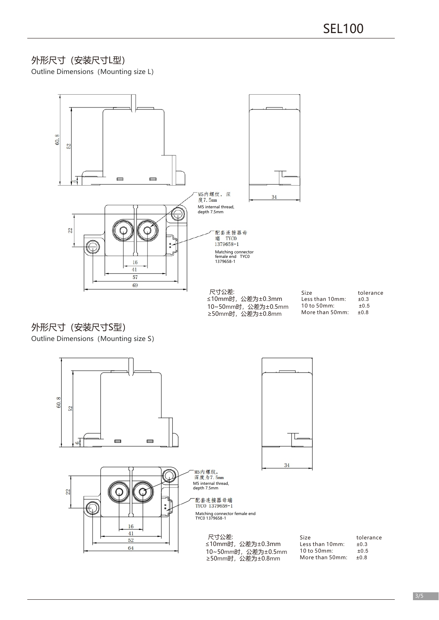# 外形尺寸(安装尺寸L型)

Outline Dimensions (Mounting size L)



10~50mm时,公差为±0.5mm ≥50mm时,公差为±0.8mm

Size tolerance<br>Less than 10mm: ±0.3 Less than 10mm:  $\pm 0.3$ <br>10 to 50mm:  $\pm 0.5$ 10 to 50mm:  $\pm 0.5$ <br>More than 50mm:  $\pm 0.8$ More than 50mm:

# 外形尺寸(安装尺寸S型)

Outline Dimensions (Mounting size S)

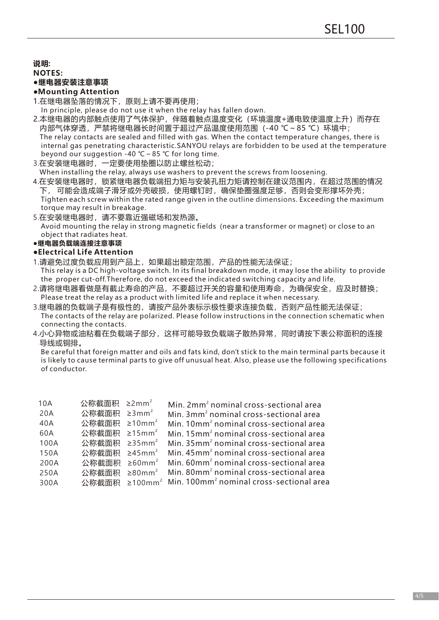**说明:**

#### **NOTES:**

#### **●继电器安装注意事项**

#### **●Mounting Attention**

- 1.在继电器坠落的情况下,原则上请不要再使用;
- In principle, please do not use it when the relay has fallen down.
- 2.本继电器的内部触点使用了气体保护,伴随着触点温度变化(环境温度+通电致使温度上升)而存在 内部气体穿透,严禁将继电器长时间置于超过产品温度使用范围(-40 ℃~85 ℃)环境中; The relay contacts are sealed and filled with gas. When the contact temperature changes, there is internal gas penetrating characteristic.SANYOU relays are forbidden to be used at the temperature beyond our suggestion -40 ℃~85 ℃ for long time.
- 3.在安装继电器时,一定要使用垫圈以防止螺丝松动;

When installing the relay, always use washers to prevent the screws from loosening.

- 4.在安装继电器时,锁紧继电器负载端扭力矩与安装孔扭力矩请控制在建议范围内,在超过范围的情况 下,可能会造成端子滑牙或外壳破损,使用螺钉时,确保垫圈强度足够,否则会变形撑坏外壳; Tighten each screw within the rated range given in the outline dimensions. Exceeding the maximum torque may result in breakage.
- 5.在安装继电器时,请不要靠近强磁场和发热源。
- Avoid mounting the relay in strong magnetic fields (near a transformer or magnet) or close to an object that radiates heat.

## **●继电器负载端连接注意事项**

#### **●Electrical Life Attention**

- 1.请避免过度负载应用到产品上,如果超出额定范围,产品的性能无法保证; This relay is a DC high-voltage switch. In its final breakdown mode, it may lose the ability to provide the proper cut-off.Therefore, do not exceed the indicated switching capacity and life.
- 2.请将继电器看做是有截止寿命的产品,不要超过开关的容量和使用寿命,为确保安全,应及时替换; Please treat the relay as a product with limited life and replace it when necessary.
- 3.继电器的负载端子是有极性的,请按产品外表标示极性要求连接负载,否则产品性能无法保证; The contacts of the relay are polarized. Please follow instructions in the connection schematic when connecting the contacts.
- 4.小心异物或油粘着在负载端子部分,这样可能导致负载端子散热异常,同时请按下表公称面积的连接 导线或铜排。

Be careful that foreign matter and oils and fats kind, don't stick to the main terminal parts because it is likely to cause terminal parts to give off unusual heat. Also, please use the following specifications of conductor.

| 10A  | 公称截面积 ≥2mm <sup>2</sup>  | Min. 2mm <sup>2</sup> nominal cross-sectional area                             |
|------|--------------------------|--------------------------------------------------------------------------------|
| 20A  | 公称截面积 ≥3mm <sup>2</sup>  | Min. 3mm <sup>2</sup> nominal cross-sectional area                             |
| 40A  | 公称截面积 ≥10mm <sup>2</sup> | Min. 10mm <sup>2</sup> nominal cross-sectional area                            |
| 60A  | 公称截面积 ≥15mm <sup>2</sup> | Min. 15mm <sup>2</sup> nominal cross-sectional area                            |
| 100A | 公称截面积 ≥35mm <sup>2</sup> | Min. 35mm <sup>2</sup> nominal cross-sectional area                            |
| 150A | 公称截面积 ≥45mm <sup>2</sup> | Min. 45mm <sup>2</sup> nominal cross-sectional area                            |
| 200A | 公称截面积 ≥60mm <sup>2</sup> | Min. 60mm <sup>2</sup> nominal cross-sectional area                            |
| 250A | 公称截面积                    | $\geq$ 80mm <sup>2</sup> Min. 80mm <sup>2</sup> nominal cross-sectional area   |
| 300A |                          | 公称截面积 ≥100mm <sup>2</sup> Min. 100mm <sup>2</sup> nominal cross-sectional area |
|      |                          |                                                                                |